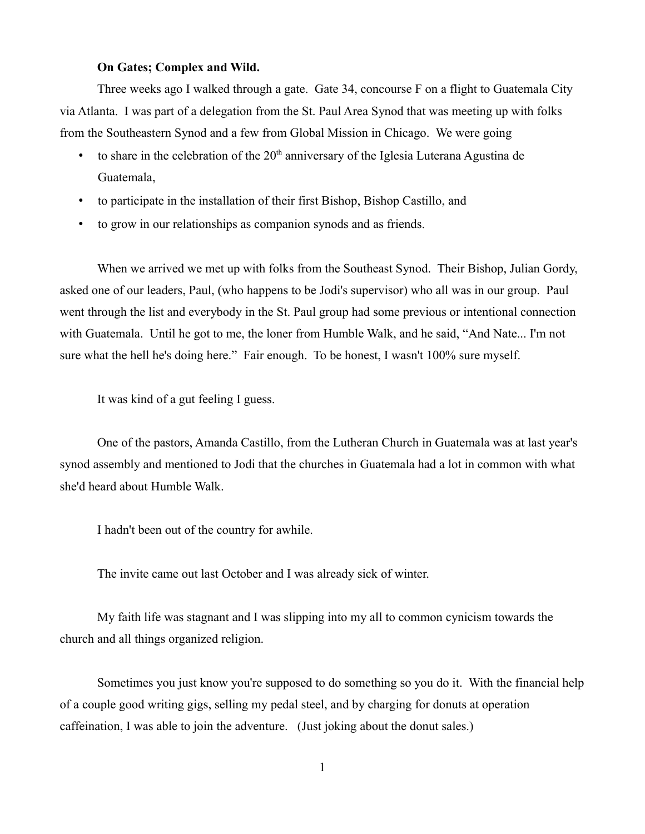## **On Gates; Complex and Wild.**

Three weeks ago I walked through a gate. Gate 34, concourse F on a flight to Guatemala City via Atlanta. I was part of a delegation from the St. Paul Area Synod that was meeting up with folks from the Southeastern Synod and a few from Global Mission in Chicago. We were going

- to share in the celebration of the  $20<sup>th</sup>$  anniversary of the Iglesia Luterana Agustina de Guatemala,
- to participate in the installation of their first Bishop, Bishop Castillo, and
- to grow in our relationships as companion synods and as friends.

When we arrived we met up with folks from the Southeast Synod. Their Bishop, Julian Gordy, asked one of our leaders, Paul, (who happens to be Jodi's supervisor) who all was in our group. Paul went through the list and everybody in the St. Paul group had some previous or intentional connection with Guatemala. Until he got to me, the loner from Humble Walk, and he said, "And Nate... I'm not sure what the hell he's doing here." Fair enough. To be honest, I wasn't 100% sure myself.

It was kind of a gut feeling I guess.

One of the pastors, Amanda Castillo, from the Lutheran Church in Guatemala was at last year's synod assembly and mentioned to Jodi that the churches in Guatemala had a lot in common with what she'd heard about Humble Walk.

I hadn't been out of the country for awhile.

The invite came out last October and I was already sick of winter.

My faith life was stagnant and I was slipping into my all to common cynicism towards the church and all things organized religion.

Sometimes you just know you're supposed to do something so you do it. With the financial help of a couple good writing gigs, selling my pedal steel, and by charging for donuts at operation caffeination, I was able to join the adventure. (Just joking about the donut sales.)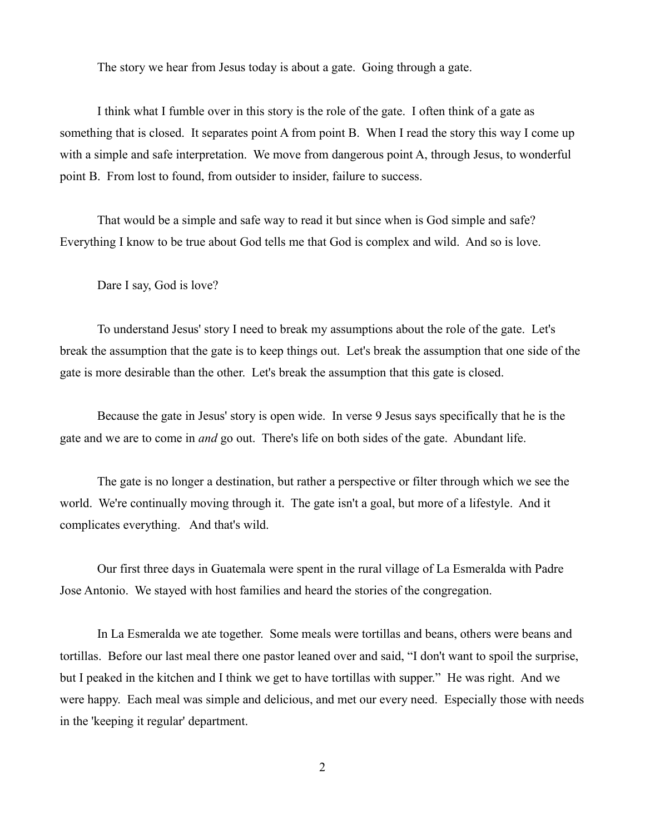The story we hear from Jesus today is about a gate. Going through a gate.

I think what I fumble over in this story is the role of the gate. I often think of a gate as something that is closed. It separates point A from point B. When I read the story this way I come up with a simple and safe interpretation. We move from dangerous point A, through Jesus, to wonderful point B. From lost to found, from outsider to insider, failure to success.

That would be a simple and safe way to read it but since when is God simple and safe? Everything I know to be true about God tells me that God is complex and wild. And so is love.

Dare I say, God is love?

To understand Jesus' story I need to break my assumptions about the role of the gate. Let's break the assumption that the gate is to keep things out. Let's break the assumption that one side of the gate is more desirable than the other. Let's break the assumption that this gate is closed.

Because the gate in Jesus' story is open wide. In verse 9 Jesus says specifically that he is the gate and we are to come in *and* go out. There's life on both sides of the gate. Abundant life.

The gate is no longer a destination, but rather a perspective or filter through which we see the world. We're continually moving through it. The gate isn't a goal, but more of a lifestyle. And it complicates everything. And that's wild.

Our first three days in Guatemala were spent in the rural village of La Esmeralda with Padre Jose Antonio. We stayed with host families and heard the stories of the congregation.

In La Esmeralda we ate together. Some meals were tortillas and beans, others were beans and tortillas. Before our last meal there one pastor leaned over and said, "I don't want to spoil the surprise, but I peaked in the kitchen and I think we get to have tortillas with supper." He was right. And we were happy. Each meal was simple and delicious, and met our every need. Especially those with needs in the 'keeping it regular' department.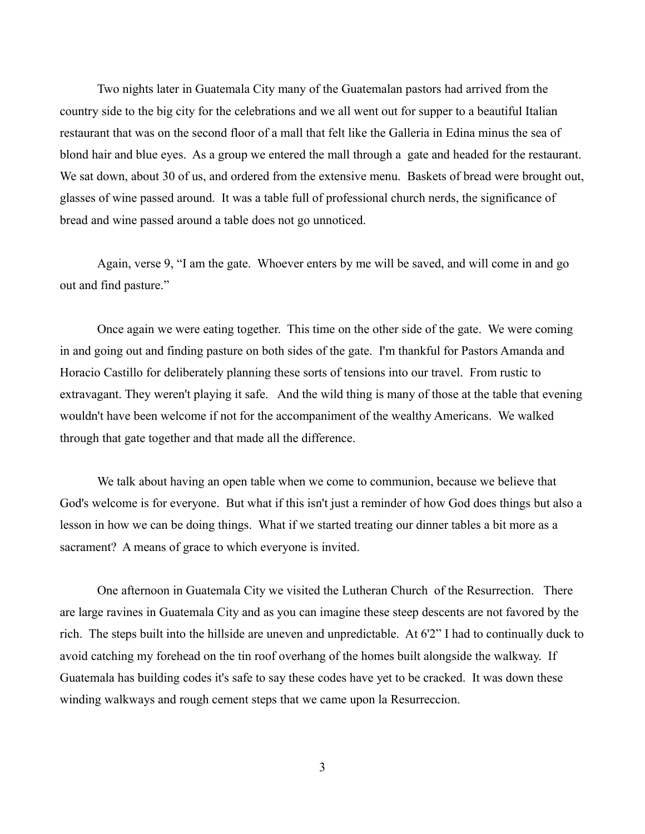Two nights later in Guatemala City many of the Guatemalan pastors had arrived from the country side to the big city for the celebrations and we all went out for supper to a beautiful Italian restaurant that was on the second floor of a mall that felt like the Galleria in Edina minus the sea of blond hair and blue eyes. As a group we entered the mall through a gate and headed for the restaurant. We sat down, about 30 of us, and ordered from the extensive menu. Baskets of bread were brought out, glasses of wine passed around. It was a table full of professional church nerds, the significance of bread and wine passed around a table does not go unnoticed.

Again, verse 9, "I am the gate. Whoever enters by me will be saved, and will come in and go out and find pasture."

Once again we were eating together. This time on the other side of the gate. We were coming in and going out and finding pasture on both sides of the gate. I'm thankful for Pastors Amanda and Horacio Castillo for deliberately planning these sorts of tensions into our travel. From rustic to extravagant. They weren't playing it safe. And the wild thing is many of those at the table that evening wouldn't have been welcome if not for the accompaniment of the wealthy Americans. We walked through that gate together and that made all the difference.

We talk about having an open table when we come to communion, because we believe that God's welcome is for everyone. But what if this isn't just a reminder of how God does things but also a lesson in how we can be doing things. What if we started treating our dinner tables a bit more as a sacrament? A means of grace to which everyone is invited.

One afternoon in Guatemala City we visited the Lutheran Church of the Resurrection. There are large ravines in Guatemala City and as you can imagine these steep descents are not favored by the rich. The steps built into the hillside are uneven and unpredictable. At 6'2" I had to continually duck to avoid catching my forehead on the tin roof overhang of the homes built alongside the walkway. If Guatemala has building codes it's safe to say these codes have yet to be cracked. It was down these winding walkways and rough cement steps that we came upon la Resurreccion.

3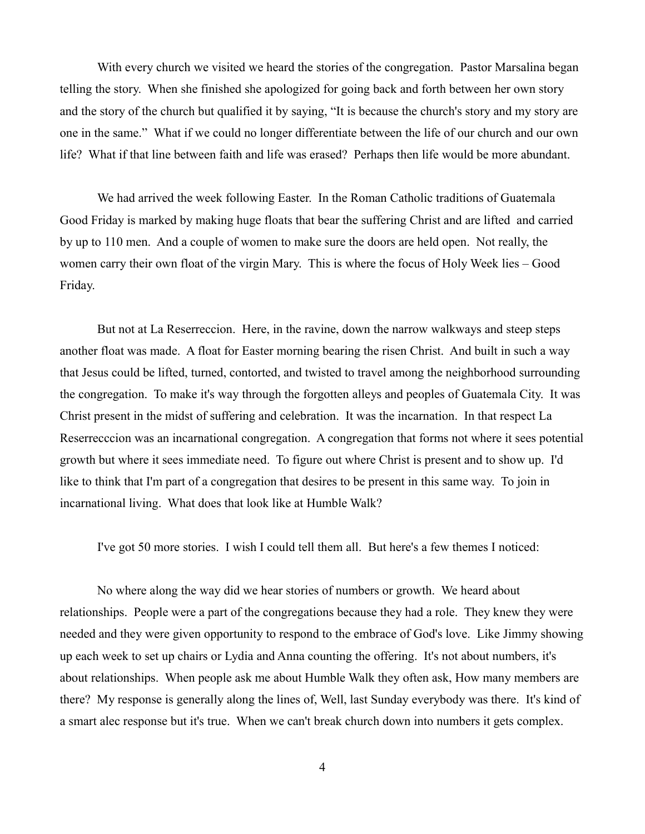With every church we visited we heard the stories of the congregation. Pastor Marsalina began telling the story. When she finished she apologized for going back and forth between her own story and the story of the church but qualified it by saying, "It is because the church's story and my story are one in the same." What if we could no longer differentiate between the life of our church and our own life? What if that line between faith and life was erased? Perhaps then life would be more abundant.

We had arrived the week following Easter. In the Roman Catholic traditions of Guatemala Good Friday is marked by making huge floats that bear the suffering Christ and are lifted and carried by up to 110 men. And a couple of women to make sure the doors are held open. Not really, the women carry their own float of the virgin Mary. This is where the focus of Holy Week lies – Good Friday.

But not at La Reserreccion. Here, in the ravine, down the narrow walkways and steep steps another float was made. A float for Easter morning bearing the risen Christ. And built in such a way that Jesus could be lifted, turned, contorted, and twisted to travel among the neighborhood surrounding the congregation. To make it's way through the forgotten alleys and peoples of Guatemala City. It was Christ present in the midst of suffering and celebration. It was the incarnation. In that respect La Reserrecccion was an incarnational congregation. A congregation that forms not where it sees potential growth but where it sees immediate need. To figure out where Christ is present and to show up. I'd like to think that I'm part of a congregation that desires to be present in this same way. To join in incarnational living. What does that look like at Humble Walk?

I've got 50 more stories. I wish I could tell them all. But here's a few themes I noticed:

No where along the way did we hear stories of numbers or growth. We heard about relationships. People were a part of the congregations because they had a role. They knew they were needed and they were given opportunity to respond to the embrace of God's love. Like Jimmy showing up each week to set up chairs or Lydia and Anna counting the offering. It's not about numbers, it's about relationships. When people ask me about Humble Walk they often ask, How many members are there? My response is generally along the lines of, Well, last Sunday everybody was there. It's kind of a smart alec response but it's true. When we can't break church down into numbers it gets complex.

4